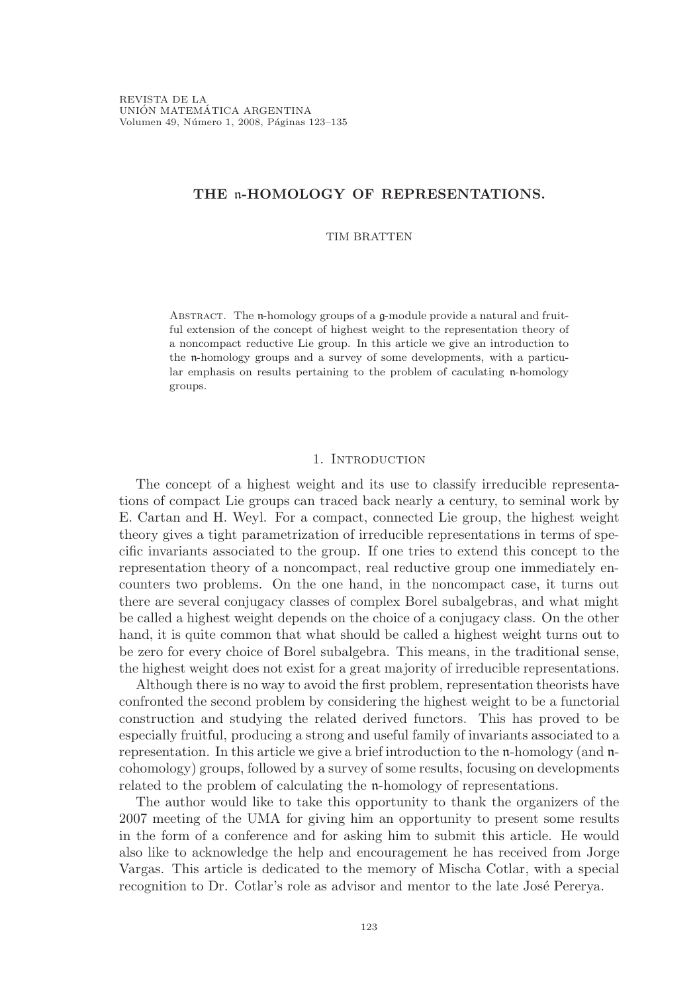# THE n-HOMOLOGY OF REPRESENTATIONS.

# TIM BRATTEN

ABSTRACT. The  $\mathfrak n$ -homology groups of a  $\mathfrak g$ -module provide a natural and fruitful extension of the concept of highest weight to the representation theory of a noncompact reductive Lie group. In this article we give an introduction to the n-homology groups and a survey of some developments, with a particular emphasis on results pertaining to the problem of caculating n-homology groups.

# 1. INTRODUCTION

The concept of a highest weight and its use to classify irreducible representations of compact Lie groups can traced back nearly a century, to seminal work by E. Cartan and H. Weyl. For a compact, connected Lie group, the highest weight theory gives a tight parametrization of irreducible representations in terms of specific invariants associated to the group. If one tries to extend this concept to the representation theory of a noncompact, real reductive group one immediately encounters two problems. On the one hand, in the noncompact case, it turns out there are several conjugacy classes of complex Borel subalgebras, and what might be called a highest weight depends on the choice of a conjugacy class. On the other hand, it is quite common that what should be called a highest weight turns out to be zero for every choice of Borel subalgebra. This means, in the traditional sense, the highest weight does not exist for a great majority of irreducible representations.

Although there is no way to avoid the first problem, representation theorists have confronted the second problem by considering the highest weight to be a functorial construction and studying the related derived functors. This has proved to be especially fruitful, producing a strong and useful family of invariants associated to a representation. In this article we give a brief introduction to the n-homology (and ncohomology) groups, followed by a survey of some results, focusing on developments related to the problem of calculating the n-homology of representations.

The author would like to take this opportunity to thank the organizers of the 2007 meeting of the UMA for giving him an opportunity to present some results in the form of a conference and for asking him to submit this article. He would also like to acknowledge the help and encouragement he has received from Jorge Vargas. This article is dedicated to the memory of Mischa Cotlar, with a special recognition to Dr. Cotlar's role as advisor and mentor to the late José Pererya.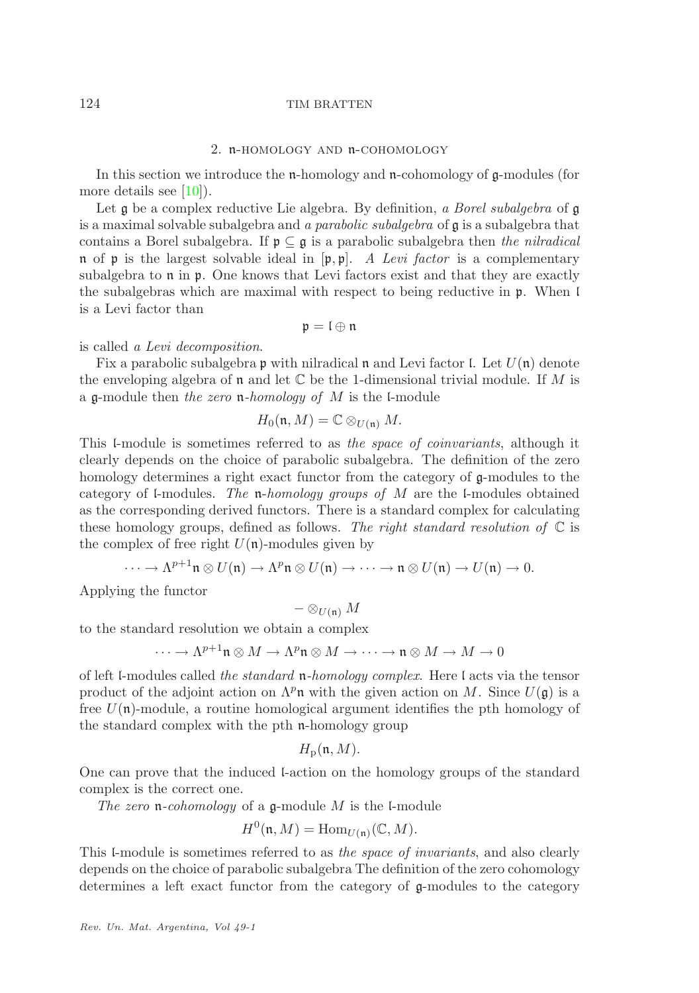# 2. n-homology and n-cohomology

<span id="page-1-0"></span>In this section we introduce the n-homology and n-cohomology of g-modules (for more details see [\[10\]](#page-12-0)).

Let  $\mathfrak g$  be a complex reductive Lie algebra. By definition, a Borel subalgebra of  $\mathfrak g$ is a maximal solvable subalgebra and a parabolic subalgebra of g is a subalgebra that contains a Borel subalgebra. If  $\mathfrak{p} \subseteq \mathfrak{g}$  is a parabolic subalgebra then the nilradical n of p is the largest solvable ideal in  $[\mathfrak{p}, \mathfrak{p}]$ . A Levi factor is a complementary subalgebra to  $\mathfrak n$  in  $\mathfrak p$ . One knows that Levi factors exist and that they are exactly the subalgebras which are maximal with respect to being reductive in p. When l is a Levi factor than

 $\mathfrak{p} = \mathfrak{l} \oplus \mathfrak{n}$ 

is called a Levi decomposition.

Fix a parabolic subalgebra p with nilradical n and Levi factor I. Let  $U(\mathfrak{n})$  denote the enveloping algebra of  $\mathfrak n$  and let  $\mathbb C$  be the 1-dimensional trivial module. If M is a  $\mathfrak q$ -module then the zero  $\mathfrak n$ -homology of M is the l-module

$$
H_0(\mathfrak{n},M)=\mathbb{C}\otimes_{U(\mathfrak{n})}M.
$$

This l-module is sometimes referred to as the space of coinvariants, although it clearly depends on the choice of parabolic subalgebra. The definition of the zero homology determines a right exact functor from the category of g-modules to the category of l-modules. The  $n$ -homology groups of M are the l-modules obtained as the corresponding derived functors. There is a standard complex for calculating these homology groups, defined as follows. The right standard resolution of  $\mathbb C$  is the complex of free right  $U(\mathfrak{n})$ -modules given by

$$
\cdots \to \Lambda^{p+1} \mathfrak{n} \otimes U(\mathfrak{n}) \to \Lambda^p \mathfrak{n} \otimes U(\mathfrak{n}) \to \cdots \to \mathfrak{n} \otimes U(\mathfrak{n}) \to U(\mathfrak{n}) \to 0.
$$

Applying the functor

$$
-\otimes_{U(\mathfrak{n})}M
$$

to the standard resolution we obtain a complex

$$
\cdots \to \Lambda^{p+1}\mathfrak{n} \otimes M \to \Lambda^p \mathfrak{n} \otimes M \to \cdots \to \mathfrak{n} \otimes M \to M \to 0
$$

of left l-modules called the standard n-homology complex. Here l acts via the tensor product of the adjoint action on  $\Lambda^p$ n with the given action on M. Since  $U(\mathfrak{g})$  is a free  $U(\mathfrak{n})$ -module, a routine homological argument identifies the pth homology of the standard complex with the pth n-homology group

$$
H_{\rm p}(\mathfrak{n},M).
$$

One can prove that the induced l-action on the homology groups of the standard complex is the correct one.

The zero  $\mathfrak n$ -cohomology of a  $\mathfrak g$ -module M is the l-module

$$
H^0(\mathfrak{n},M) = \text{Hom}_{U(\mathfrak{n})}(\mathbb{C},M).
$$

This l-module is sometimes referred to as the space of invariants, and also clearly depends on the choice of parabolic subalgebra The definition of the zero cohomology determines a left exact functor from the category of g-modules to the category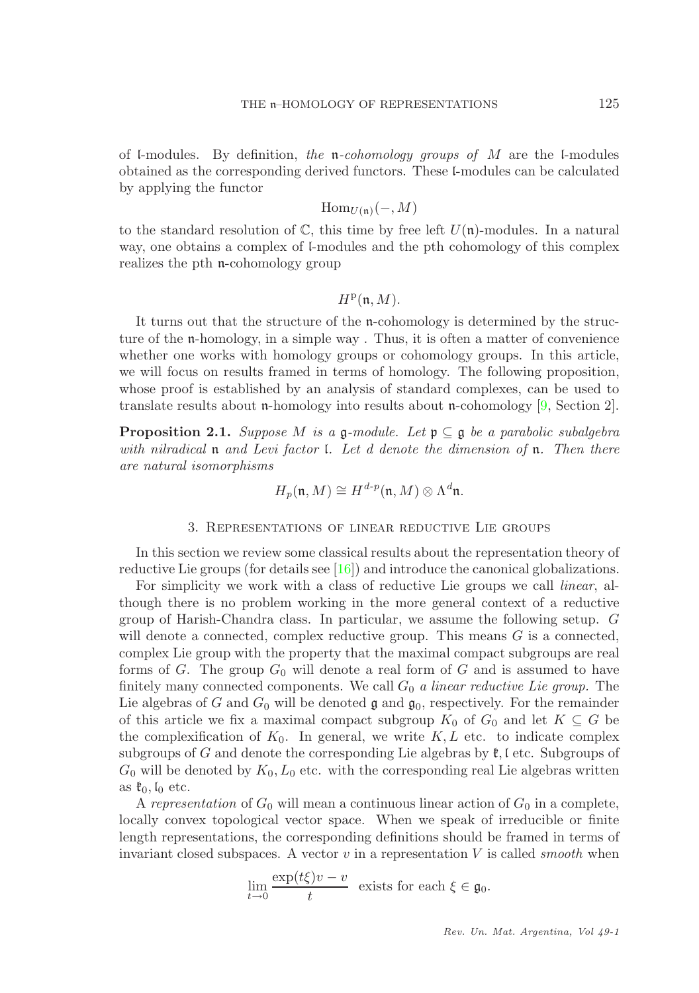of l-modules. By definition, the n-cohomology groups of  $M$  are the l-modules obtained as the corresponding derived functors. These l-modules can be calculated by applying the functor

$$
\mathrm{Hom}_{U(\mathfrak{n})}(-,M)
$$

to the standard resolution of  $\mathbb C$ , this time by free left  $U(\mathfrak n)$ -modules. In a natural way, one obtains a complex of l-modules and the pth cohomology of this complex realizes the pth n-cohomology group

# $H^{\rm p}(\mathfrak n,M).$

It turns out that the structure of the n-cohomology is determined by the structure of the n-homology, in a simple way . Thus, it is often a matter of convenience whether one works with homology groups or cohomology groups. In this article, we will focus on results framed in terms of homology. The following proposition, whose proof is established by an analysis of standard complexes, can be used to translate results about n-homology into results about n-cohomology  $[9, \text{Section 2}]$ .

**Proposition 2.1.** Suppose M is a  $\mathfrak{g}$ -module. Let  $\mathfrak{p} \subseteq \mathfrak{g}$  be a parabolic subalgebra with nilradical  $\mathfrak n$  and Levi factor *l.* Let d denote the dimension of  $\mathfrak n$ . Then there are natural isomorphisms

$$
H_p(\mathfrak{n},M) \cong H^{d\text{-}p}(\mathfrak{n},M) \otimes \Lambda^d \mathfrak{n}.
$$

### 3. Representations of linear reductive Lie groups

<span id="page-2-0"></span>In this section we review some classical results about the representation theory of reductive Lie groups (for details see [\[16\]](#page-12-2)) and introduce the canonical globalizations.

For simplicity we work with a class of reductive Lie groups we call linear, although there is no problem working in the more general context of a reductive group of Harish-Chandra class. In particular, we assume the following setup. G will denote a connected, complex reductive group. This means  $G$  is a connected, complex Lie group with the property that the maximal compact subgroups are real forms of G. The group  $G_0$  will denote a real form of G and is assumed to have finitely many connected components. We call  $G_0$  a linear reductive Lie group. The Lie algebras of G and  $G_0$  will be denoted  $\mathfrak g$  and  $\mathfrak g_0$ , respectively. For the remainder of this article we fix a maximal compact subgroup  $K_0$  of  $G_0$  and let  $K \subseteq G$  be the complexification of  $K_0$ . In general, we write  $K, L$  etc. to indicate complex subgroups of G and denote the corresponding Lie algebras by  $\mathfrak{k}$ , l etc. Subgroups of  $G_0$  will be denoted by  $K_0, L_0$  etc. with the corresponding real Lie algebras written as  $\mathfrak{k}_0, \mathfrak{l}_0$  etc.

A representation of  $G_0$  will mean a continuous linear action of  $G_0$  in a complete, locally convex topological vector space. When we speak of irreducible or finite length representations, the corresponding definitions should be framed in terms of invariant closed subspaces. A vector  $v$  in a representation  $V$  is called *smooth* when

$$
\lim_{t \to 0} \frac{\exp(t\xi)v - v}{t}
$$
 exists for each  $\xi \in \mathfrak{g}_0$ .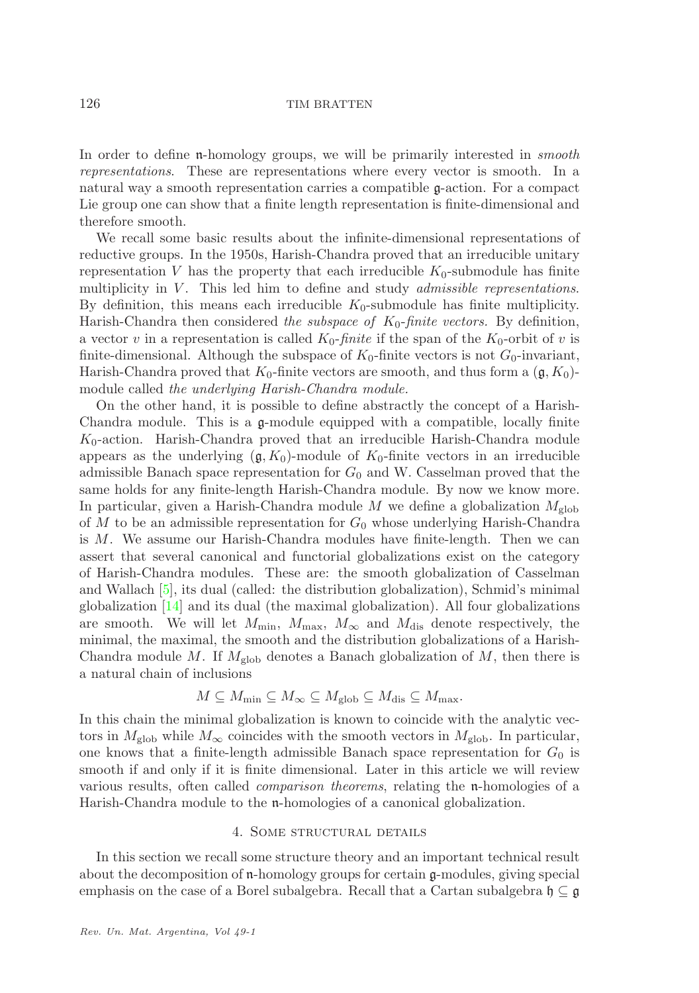In order to define n-homology groups, we will be primarily interested in *smooth* representations. These are representations where every vector is smooth. In a natural way a smooth representation carries a compatible g-action. For a compact Lie group one can show that a finite length representation is finite-dimensional and therefore smooth.

We recall some basic results about the infinite-dimensional representations of reductive groups. In the 1950s, Harish-Chandra proved that an irreducible unitary representation V has the property that each irreducible  $K_0$ -submodule has finite multiplicity in  $V$ . This led him to define and study *admissible representations*. By definition, this means each irreducible  $K_0$ -submodule has finite multiplicity. Harish-Chandra then considered the subspace of  $K_0$ -finite vectors. By definition, a vector v in a representation is called  $K_0$ -finite if the span of the  $K_0$ -orbit of v is finite-dimensional. Although the subspace of  $K_0$ -finite vectors is not  $G_0$ -invariant, Harish-Chandra proved that  $K_0$ -finite vectors are smooth, and thus form a  $(\mathfrak{g}, K_0)$ module called the underlying Harish-Chandra module.

On the other hand, it is possible to define abstractly the concept of a Harish-Chandra module. This is a g-module equipped with a compatible, locally finite  $K_0$ -action. Harish-Chandra proved that an irreducible Harish-Chandra module appears as the underlying  $(\mathfrak{g}, K_0)$ -module of  $K_0$ -finite vectors in an irreducible admissible Banach space representation for  $G_0$  and W. Casselman proved that the same holds for any finite-length Harish-Chandra module. By now we know more. In particular, given a Harish-Chandra module M we define a globalization  $M_{\text{glob}}$ of M to be an admissible representation for  $G_0$  whose underlying Harish-Chandra is M. We assume our Harish-Chandra modules have finite-length. Then we can assert that several canonical and functorial globalizations exist on the category of Harish-Chandra modules. These are: the smooth globalization of Casselman and Wallach [\[5\]](#page-12-3), its dual (called: the distribution globalization), Schmid's minimal globalization [\[14\]](#page-12-4) and its dual (the maximal globalization). All four globalizations are smooth. We will let  $M_{\text{min}}$ ,  $M_{\text{max}}$ ,  $M_{\infty}$  and  $M_{\text{dis}}$  denote respectively, the minimal, the maximal, the smooth and the distribution globalizations of a Harish-Chandra module M. If  $M_{\rm glob}$  denotes a Banach globalization of M, then there is a natural chain of inclusions

$$
M \subseteq M_{\min} \subseteq M_{\infty} \subseteq M_{\text{glob}} \subseteq M_{\text{dis}} \subseteq M_{\max}.
$$

In this chain the minimal globalization is known to coincide with the analytic vectors in  $M_{\rm glob}$  while  $M_{\infty}$  coincides with the smooth vectors in  $M_{\rm glob}$ . In particular, one knows that a finite-length admissible Banach space representation for  $G_0$  is smooth if and only if it is finite dimensional. Later in this article we will review various results, often called comparison theorems, relating the n-homologies of a Harish-Chandra module to the n-homologies of a canonical globalization.

## 4. SOME STRUCTURAL DETAILS

<span id="page-3-0"></span>In this section we recall some structure theory and an important technical result about the decomposition of n-homology groups for certain g-modules, giving special emphasis on the case of a Borel subalgebra. Recall that a Cartan subalgebra  $\mathfrak{h} \subseteq \mathfrak{g}$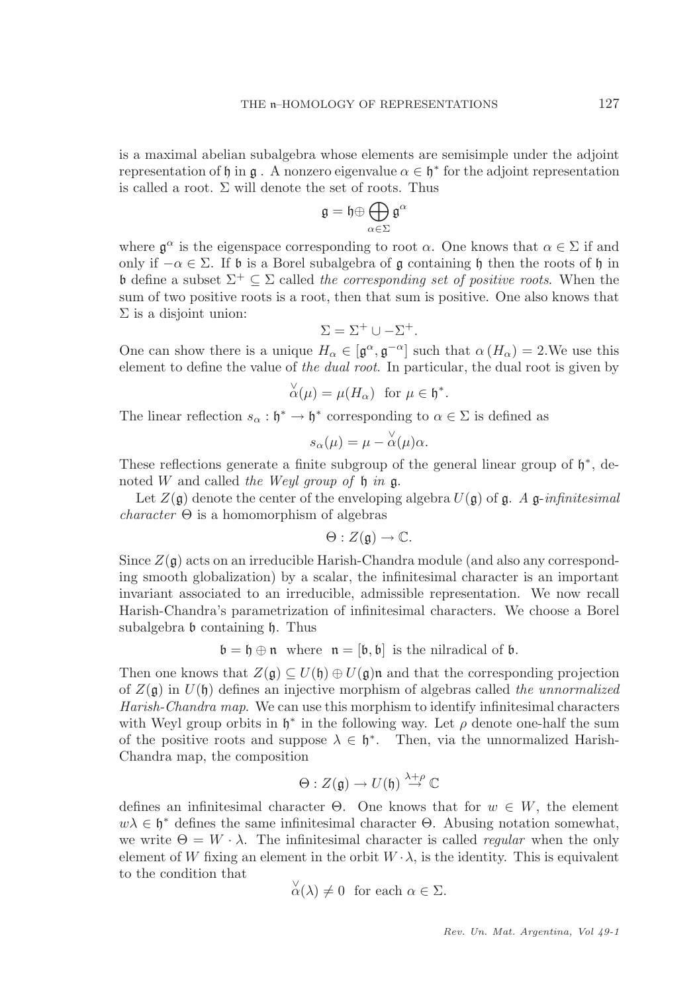is a maximal abelian subalgebra whose elements are semisimple under the adjoint representation of  $\mathfrak h$  in  $\mathfrak g$ . A nonzero eigenvalue  $\alpha \in \mathfrak h^*$  for the adjoint representation is called a root.  $\Sigma$  will denote the set of roots. Thus

$$
\mathfrak{g}=\mathfrak{h}\oplus\bigoplus_{\alpha\in\Sigma}\mathfrak{g}^\alpha
$$

where  $\mathfrak{g}^{\alpha}$  is the eigenspace corresponding to root  $\alpha$ . One knows that  $\alpha \in \Sigma$  if and only if  $-\alpha \in \Sigma$ . If  $\mathfrak b$  is a Borel subalgebra of  $\mathfrak g$  containing  $\mathfrak h$  then the roots of  $\mathfrak h$  in b define a subset  $\Sigma^+ \subseteq \Sigma$  called the corresponding set of positive roots. When the sum of two positive roots is a root, then that sum is positive. One also knows that  $\Sigma$  is a disjoint union:

$$
\Sigma = \Sigma^+ \cup -\Sigma^+.
$$

One can show there is a unique  $H_{\alpha} \in [\mathfrak{g}^{\alpha}, \mathfrak{g}^{-\alpha}]$  such that  $\alpha(H_{\alpha}) = 2$ . We use this element to define the value of the dual root. In particular, the dual root is given by

$$
\overset{\vee}{\alpha}(\mu) = \mu(H_{\alpha}) \text{ for } \mu \in \mathfrak{h}^*.
$$

The linear reflection  $s_{\alpha} : \mathfrak{h}^* \to \mathfrak{h}^*$  corresponding to  $\alpha \in \Sigma$  is defined as

$$
s_{\alpha}(\mu) = \mu - \overset{\vee}{\alpha}(\mu)\alpha.
$$

These reflections generate a finite subgroup of the general linear group of  $\mathfrak{h}^*$ , denoted W and called the Weyl group of  $\mathfrak h$  in  $\mathfrak g$ .

Let  $Z(\mathfrak{g})$  denote the center of the enveloping algebra  $U(\mathfrak{g})$  of  $\mathfrak{g}$ . A  $\mathfrak{g}\text{-}\infinitesimal$ *character*  $\Theta$  is a homomorphism of algebras

$$
\Theta: Z(\mathfrak{g}) \to \mathbb{C}.
$$

Since  $Z(\mathfrak{g})$  acts on an irreducible Harish-Chandra module (and also any corresponding smooth globalization) by a scalar, the infinitesimal character is an important invariant associated to an irreducible, admissible representation. We now recall Harish-Chandra's parametrization of infinitesimal characters. We choose a Borel subalgebra b containing h. Thus

$$
\mathfrak{b} = \mathfrak{h} \oplus \mathfrak{n} \text{ where } \mathfrak{n} = [\mathfrak{b}, \mathfrak{b}] \text{ is the nilradical of } \mathfrak{b}.
$$

Then one knows that  $Z(\mathfrak{g}) \subseteq U(\mathfrak{h}) \oplus U(\mathfrak{g})\mathfrak{n}$  and that the corresponding projection of  $Z(\mathfrak{g})$  in  $U(\mathfrak{h})$  defines an injective morphism of algebras called the unnormalized Harish-Chandra map. We can use this morphism to identify infinitesimal characters with Weyl group orbits in  $\mathfrak{h}^*$  in the following way. Let  $\rho$  denote one-half the sum of the positive roots and suppose  $\lambda \in \mathfrak{h}^*$ . Then, via the unnormalized Harish-Chandra map, the composition

$$
\Theta: Z(\mathfrak{g}) \to U(\mathfrak{h}) \stackrel{\lambda+\rho}{\to} \mathbb{C}
$$

defines an infinitesimal character  $\Theta$ . One knows that for  $w \in W$ , the element  $w\lambda \in \mathfrak{h}^*$  defines the same infinitesimal character  $\Theta$ . Abusing notation somewhat, we write  $\Theta = W \cdot \lambda$ . The infinitesimal character is called *regular* when the only element of W fixing an element in the orbit  $W \cdot \lambda$ , is the identity. This is equivalent to the condition that

$$
\overset{\vee}{\alpha}(\lambda) \neq 0 \text{ for each } \alpha \in \Sigma.
$$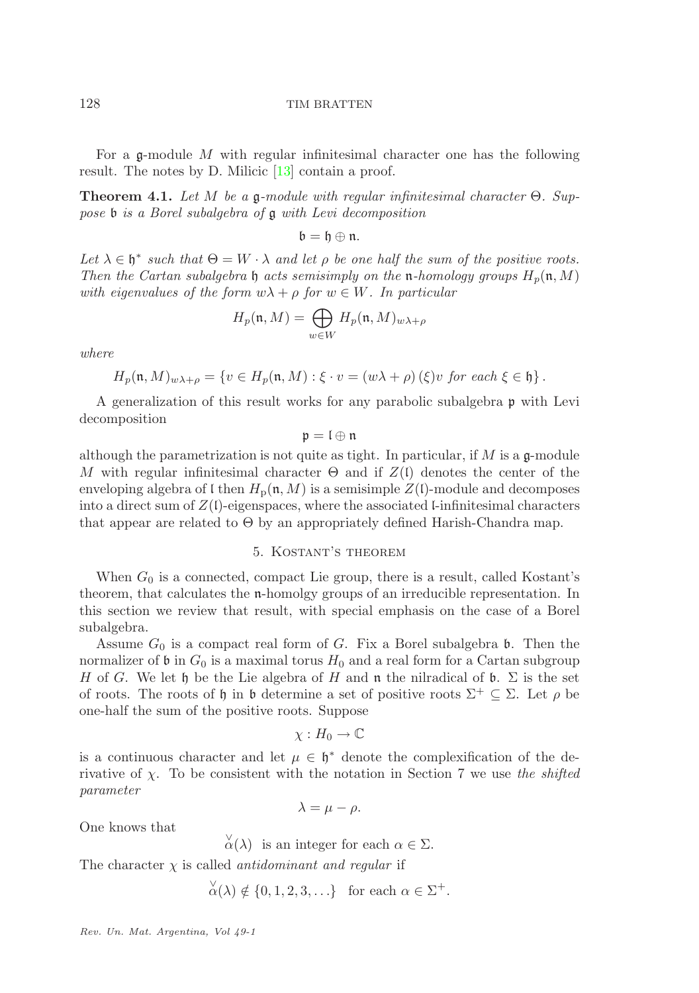For a  $\alpha$ -module M with regular infinitesimal character one has the following result. The notes by D. Milicic [\[13\]](#page-12-5) contain a proof.

**Theorem 4.1.** Let M be a g-module with regular infinitesimal character  $\Theta$ . Suppose b is a Borel subalgebra of g with Levi decomposition

 $\mathfrak{b} = \mathfrak{h} \oplus \mathfrak{n}.$ 

Let  $\lambda \in \mathfrak{h}^*$  such that  $\Theta = W \cdot \lambda$  and let  $\rho$  be one half the sum of the positive roots. Then the Cartan subalgebra h acts semisimply on the n-homology groups  $H_p(\mathfrak{n}, M)$ with eigenvalues of the form  $w\lambda + \rho$  for  $w \in W$ . In particular

$$
H_p(\mathfrak{n}, M) = \bigoplus_{w \in W} H_p(\mathfrak{n}, M)_{w\lambda + \rho}
$$

where

$$
H_p(\mathfrak{n},M)_{w\lambda+\rho} = \{v \in H_p(\mathfrak{n},M) : \xi \cdot v = (w\lambda+\rho)(\xi)v \text{ for each } \xi \in \mathfrak{h}\}.
$$

A generalization of this result works for any parabolic subalgebra p with Levi decomposition

 $\mathfrak{p}=\mathfrak{l}\oplus\mathfrak{n}$ 

although the parametrization is not quite as tight. In particular, if  $M$  is a  $\mathfrak{a}$ -module M with regular infinitesimal character  $\Theta$  and if  $Z(\mathfrak{l})$  denotes the center of the enveloping algebra of l then  $H_p(\mathfrak{n}, M)$  is a semisimple  $Z(\mathfrak{l})$ -module and decomposes into a direct sum of  $Z(\mathfrak{l})$ -eigenspaces, where the associated l-infinitesimal characters that appear are related to  $\Theta$  by an appropriately defined Harish-Chandra map.

# 5. Kostant's theorem

When  $G_0$  is a connected, compact Lie group, there is a result, called Kostant's theorem, that calculates the n-homolgy groups of an irreducible representation. In this section we review that result, with special emphasis on the case of a Borel subalgebra.

Assume  $G_0$  is a compact real form of G. Fix a Borel subalgebra  $\mathfrak b$ . Then the normalizer of b in  $G_0$  is a maximal torus  $H_0$  and a real form for a Cartan subgroup H of G. We let h be the Lie algebra of H and n the nilradical of b.  $\Sigma$  is the set of roots. The roots of h in b determine a set of positive roots  $\Sigma^+ \subseteq \Sigma$ . Let  $\rho$  be one-half the sum of the positive roots. Suppose

$$
\chi: H_0 \to \mathbb{C}
$$

is a continuous character and let  $\mu \in \mathfrak{h}^*$  denote the complexification of the derivative of  $\chi$ . To be consistent with the notation in Section 7 we use the shifted parameter

$$
\lambda = \mu - \rho.
$$

One knows that

 $\alpha^{\vee}(\lambda)$  is an integer for each  $\alpha \in \Sigma$ .

The character  $\chi$  is called *antidominant and regular* if

$$
\overset{\vee}{\alpha}(\lambda) \notin \{0, 1, 2, 3, \ldots\} \text{ for each } \alpha \in \Sigma^{+}.
$$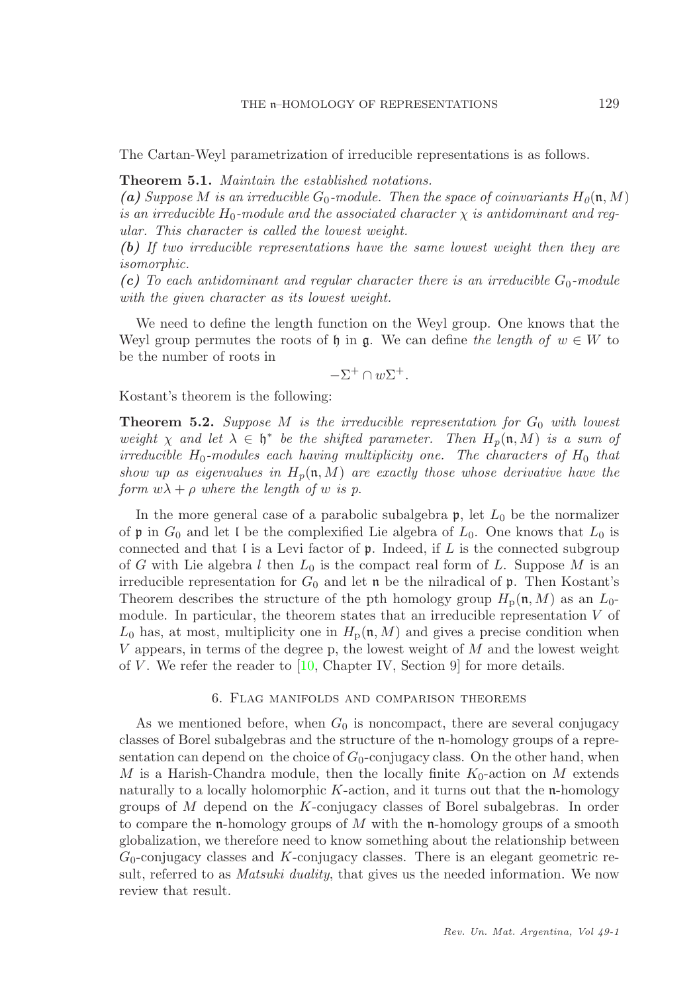The Cartan-Weyl parametrization of irreducible representations is as follows.

Theorem 5.1. Maintain the established notations.

(a) Suppose M is an irreducible  $G_0$ -module. Then the space of coinvariants  $H_0(\mathfrak{n}, M)$ is an irreducible  $H_0$ -module and the associated character  $\chi$  is antidominant and regular. This character is called the lowest weight.

(b) If two irreducible representations have the same lowest weight then they are isomorphic.

(c) To each antidominant and regular character there is an irreducible  $G_0$ -module with the given character as its lowest weight.

We need to define the length function on the Weyl group. One knows that the Weyl group permutes the roots of h in g. We can define the length of  $w \in W$  to be the number of roots in

$$
-\Sigma^+ \cap w\Sigma^+.
$$

<span id="page-6-0"></span>Kostant's theorem is the following:

**Theorem 5.2.** Suppose M is the irreducible representation for  $G_0$  with lowest weight  $\chi$  and let  $\lambda \in \mathfrak{h}^*$  be the shifted parameter. Then  $H_p(\mathfrak{n}, M)$  is a sum of irreducible  $H_0$ -modules each having multiplicity one. The characters of  $H_0$  that show up as eigenvalues in  $H_p(n, M)$  are exactly those whose derivative have the form  $w\lambda + \rho$  where the length of w is p.

In the more general case of a parabolic subalgebra  $\mathfrak{p}$ , let  $L_0$  be the normalizer of p in  $G_0$  and let l be the complexified Lie algebra of  $L_0$ . One knows that  $L_0$  is connected and that  $\mathfrak l$  is a Levi factor of  $\mathfrak p$ . Indeed, if  $L$  is the connected subgroup of G with Lie algebra l then  $L_0$  is the compact real form of L. Suppose M is an irreducible representation for  $G_0$  and let  $\mathfrak n$  be the nilradical of  $\mathfrak p$ . Then Kostant's Theorem describes the structure of the pth homology group  $H_p(\mathfrak{n}, M)$  as an  $L_0$ module. In particular, the theorem states that an irreducible representation  $V$  of  $L_0$  has, at most, multiplicity one in  $H_p(\mathfrak{n}, M)$  and gives a precise condition when V appears, in terms of the degree p, the lowest weight of  $M$  and the lowest weight of V. We refer the reader to  $[10,$  Chapter IV, Section 9 for more details.

#### 6. Flag manifolds and comparison theorems

<span id="page-6-1"></span>As we mentioned before, when  $G_0$  is noncompact, there are several conjugacy classes of Borel subalgebras and the structure of the n-homology groups of a representation can depend on the choice of  $G_0$ -conjugacy class. On the other hand, when M is a Harish-Chandra module, then the locally finite  $K_0$ -action on M extends naturally to a locally holomorphic  $K$ -action, and it turns out that the n-homology groups of M depend on the K-conjugacy classes of Borel subalgebras. In order to compare the n-homology groups of  $M$  with the n-homology groups of a smooth globalization, we therefore need to know something about the relationship between  $G_0$ -conjugacy classes and  $K$ -conjugacy classes. There is an elegant geometric result, referred to as *Matsuki duality*, that gives us the needed information. We now review that result.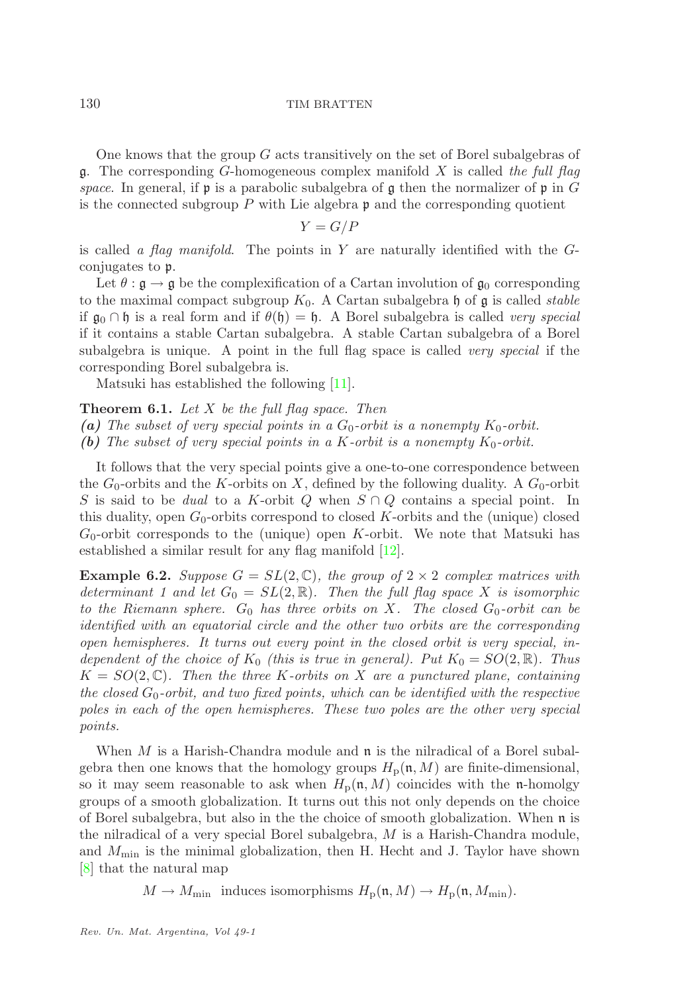One knows that the group  $G$  acts transitively on the set of Borel subalgebras of q. The corresponding G-homogeneous complex manifold X is called the full flag space. In general, if  $\mathfrak p$  is a parabolic subalgebra of  $\mathfrak g$  then the normalizer of  $\mathfrak p$  in G is the connected subgroup  $P$  with Lie algebra  $\mathfrak p$  and the corresponding quotient

$$
Y = G/P
$$

is called a flag manifold. The points in  $Y$  are naturally identified with the  $G$ conjugates to p.

Let  $\theta : \mathfrak{g} \to \mathfrak{g}$  be the complexification of a Cartan involution of  $\mathfrak{g}_0$  corresponding to the maximal compact subgroup  $K_0$ . A Cartan subalgebra h of g is called *stable* if  $\mathfrak{g}_0 \cap \mathfrak{h}$  is a real form and if  $\theta(\mathfrak{h}) = \mathfrak{h}$ . A Borel subalgebra is called very special if it contains a stable Cartan subalgebra. A stable Cartan subalgebra of a Borel subalgebra is unique. A point in the full flag space is called *very special* if the corresponding Borel subalgebra is.

Matsuki has established the following [\[11\]](#page-12-6).

<span id="page-7-1"></span>**Theorem 6.1.** Let  $X$  be the full flag space. Then

(a) The subset of very special points in a  $G_0$ -orbit is a nonempty  $K_0$ -orbit.

(b) The subset of very special points in a K-orbit is a nonempty  $K_0$ -orbit.

It follows that the very special points give a one-to-one correspondence between the  $G_0$ -orbits and the K-orbits on X, defined by the following duality. A  $G_0$ -orbit S is said to be *dual* to a K-orbit Q when  $S \cap Q$  contains a special point. In this duality, open  $G_0$ -orbits correspond to closed K-orbits and the (unique) closed  $G_0$ -orbit corresponds to the (unique) open K-orbit. We note that Matsuki has established a similar result for any flag manifold [\[12\]](#page-12-7).

<span id="page-7-0"></span>**Example 6.2.** Suppose  $G = SL(2, \mathbb{C})$ , the group of  $2 \times 2$  complex matrices with determinant 1 and let  $G_0 = SL(2, \mathbb{R})$ . Then the full flag space X is isomorphic to the Riemann sphere.  $G_0$  has three orbits on X. The closed  $G_0$ -orbit can be identified with an equatorial circle and the other two orbits are the corresponding open hemispheres. It turns out every point in the closed orbit is very special, independent of the choice of  $K_0$  (this is true in general). Put  $K_0 = SO(2, \mathbb{R})$ . Thus  $K = SO(2, \mathbb{C})$ . Then the three K-orbits on X are a punctured plane, containing the closed  $G_0$ -orbit, and two fixed points, which can be identified with the respective poles in each of the open hemispheres. These two poles are the other very special points.

When  $M$  is a Harish-Chandra module and  $\mathfrak n$  is the nilradical of a Borel subalgebra then one knows that the homology groups  $H_p(\mathfrak{n}, M)$  are finite-dimensional, so it may seem reasonable to ask when  $H_p(\mathfrak{n}, M)$  coincides with the n-homolgy groups of a smooth globalization. It turns out this not only depends on the choice of Borel subalgebra, but also in the the choice of smooth globalization. When n is the nilradical of a very special Borel subalgebra, M is a Harish-Chandra module, and  $M_{\text{min}}$  is the minimal globalization, then H. Hecht and J. Taylor have shown [\[8\]](#page-12-8) that the natural map

 $M \to M_{\text{min}}$  induces isomorphisms  $H_{\text{p}}(\mathfrak{n}, M) \to H_{\text{p}}(\mathfrak{n}, M_{\text{min}})$ .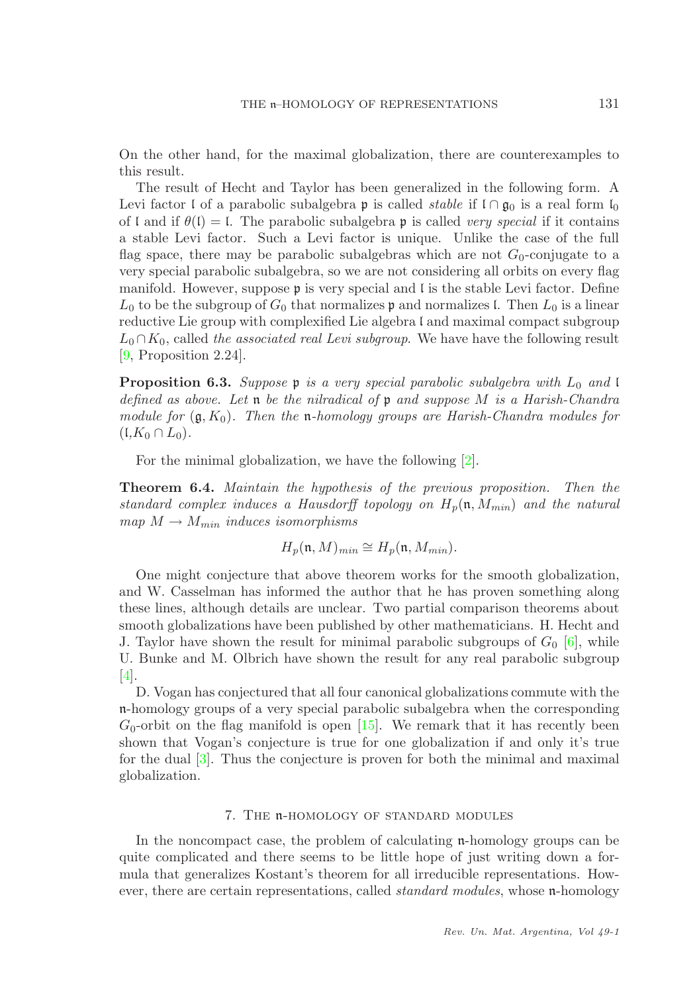On the other hand, for the maximal globalization, there are counterexamples to this result.

The result of Hecht and Taylor has been generalized in the following form. A Levi factor l of a parabolic subalgebra p is called *stable* if  $\theta$  on  $\theta$ <sub>0</sub> is a real form  $\theta$ <sub>0</sub> of l and if  $\theta(I) = I$ . The parabolic subalgebra p is called very special if it contains a stable Levi factor. Such a Levi factor is unique. Unlike the case of the full flag space, there may be parabolic subalgebras which are not  $G_0$ -conjugate to a very special parabolic subalgebra, so we are not considering all orbits on every flag manifold. However, suppose  $\mathfrak p$  is very special and  $\mathfrak l$  is the stable Levi factor. Define  $L_0$  to be the subgroup of  $G_0$  that normalizes p and normalizes l. Then  $L_0$  is a linear reductive Lie group with complexified Lie algebra l and maximal compact subgroup  $L_0 \cap K_0$ , called the associated real Levi subgroup. We have the following result [\[9,](#page-12-1) Proposition 2.24].

<span id="page-8-0"></span>**Proposition 6.3.** Suppose  $\mathfrak{p}$  is a very special parabolic subalgebra with  $L_0$  and l defined as above. Let  $\mathfrak n$  be the nilradical of  $\mathfrak p$  and suppose M is a Harish-Chandra module for  $(g, K_0)$ . Then the n-homology groups are Harish-Chandra modules for  $(L,K_0 \cap L_0).$ 

For the minimal globalization, we have the following [\[2\]](#page-12-9).

<span id="page-8-1"></span>Theorem 6.4. Maintain the hypothesis of the previous proposition. Then the standard complex induces a Hausdorff topology on  $H_p(\mathfrak{n}, M_{min})$  and the natural  $map M \rightarrow M_{min}$  induces isomorphisms

$$
H_p(\mathfrak{n}, M)_{min} \cong H_p(\mathfrak{n}, M_{min}).
$$

One might conjecture that above theorem works for the smooth globalization, and W. Casselman has informed the author that he has proven something along these lines, although details are unclear. Two partial comparison theorems about smooth globalizations have been published by other mathematicians. H. Hecht and J. Taylor have shown the result for minimal parabolic subgroups of  $G_0$  [\[6\]](#page-12-10), while U. Bunke and M. Olbrich have shown the result for any real parabolic subgroup [\[4\]](#page-12-11).

D. Vogan has conjectured that all four canonical globalizations commute with the n-homology groups of a very special parabolic subalgebra when the corresponding  $G_0$ -orbit on the flag manifold is open [\[15\]](#page-12-12). We remark that it has recently been shown that Vogan's conjecture is true for one globalization if and only it's true for the dual [\[3\]](#page-12-13). Thus the conjecture is proven for both the minimal and maximal globalization.

### 7. The n-homology of standard modules

<span id="page-8-2"></span>In the noncompact case, the problem of calculating n-homology groups can be quite complicated and there seems to be little hope of just writing down a formula that generalizes Kostant's theorem for all irreducible representations. However, there are certain representations, called *standard modules*, whose n-homology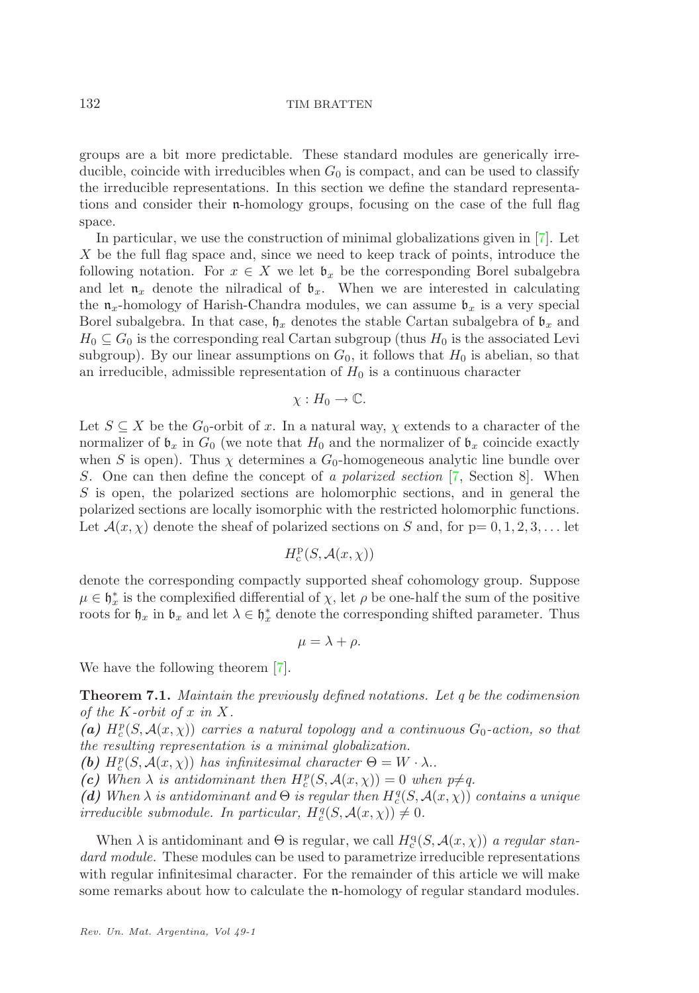groups are a bit more predictable. These standard modules are generically irreducible, coincide with irreducibles when  $G_0$  is compact, and can be used to classify the irreducible representations. In this section we define the standard representations and consider their n-homology groups, focusing on the case of the full flag space.

In particular, we use the construction of minimal globalizations given in [\[7\]](#page-12-14). Let X be the full flag space and, since we need to keep track of points, introduce the following notation. For  $x \in X$  we let  $\mathfrak{b}_x$  be the corresponding Borel subalgebra and let  $\mathfrak{n}_x$  denote the nilradical of  $\mathfrak{b}_x$ . When we are interested in calculating the  $\mathfrak{n}_x$ -homology of Harish-Chandra modules, we can assume  $\mathfrak{b}_x$  is a very special Borel subalgebra. In that case,  $\mathfrak{h}_x$  denotes the stable Cartan subalgebra of  $\mathfrak{b}_x$  and  $H_0 \subseteq G_0$  is the corresponding real Cartan subgroup (thus  $H_0$  is the associated Levi subgroup). By our linear assumptions on  $G_0$ , it follows that  $H_0$  is abelian, so that an irreducible, admissible representation of  $H_0$  is a continuous character

$$
\chi: H_0 \to \mathbb{C}.
$$

Let  $S \subseteq X$  be the  $G_0$ -orbit of x. In a natural way,  $\chi$  extends to a character of the normalizer of  $\mathfrak{b}_x$  in  $G_0$  (we note that  $H_0$  and the normalizer of  $\mathfrak{b}_x$  coincide exactly when S is open). Thus  $\chi$  determines a  $G_0$ -homogeneous analytic line bundle over S. One can then define the concept of a polarized section [\[7,](#page-12-14) Section 8]. When S is open, the polarized sections are holomorphic sections, and in general the polarized sections are locally isomorphic with the restricted holomorphic functions. Let  $\mathcal{A}(x, \chi)$  denote the sheaf of polarized sections on S and, for  $p = 0, 1, 2, 3, \ldots$  let

$$
H^{\rm p}_{{\rm c}}(S,{\cal A}(x,\chi))
$$

denote the corresponding compactly supported sheaf cohomology group. Suppose  $\mu \in \mathfrak{h}_x^*$  is the complexified differential of  $\chi$ , let  $\rho$  be one-half the sum of the positive roots for  $\mathfrak{h}_x$  in  $\mathfrak{b}_x$  and let  $\lambda \in \mathfrak{h}_x^*$  denote the corresponding shifted parameter. Thus

$$
\mu = \lambda + \rho.
$$

<span id="page-9-0"></span>We have the following theorem [\[7\]](#page-12-14).

Theorem 7.1. Maintain the previously defined notations. Let q be the codimension of the K-orbit of x in X.

(a)  $H_c^p(S, \mathcal{A}(x, \chi))$  carries a natural topology and a continuous  $G_0$ -action, so that the resulting representation is a minimal globalization.

(b)  $H_c^p(S, \mathcal{A}(x, \chi))$  has infinitesimal character  $\Theta = W \cdot \lambda$ .

(c) When  $\lambda$  is antidominant then  $H_c^p(S, \mathcal{A}(x, \chi)) = 0$  when  $p \neq q$ .

(d) When  $\lambda$  is antidominant and  $\Theta$  is regular then  $H_c^q(S, \mathcal{A}(x, \chi))$  contains a unique irreducible submodule. In particular,  $H_c^q(S, \mathcal{A}(x, \chi)) \neq 0$ .

When  $\lambda$  is antidominant and  $\Theta$  is regular, we call  $H_c^{\mathsf{q}}(S, \mathcal{A}(x, \chi))$  a regular standard module. These modules can be used to parametrize irreducible representations with regular infinitesimal character. For the remainder of this article we will make some remarks about how to calculate the n-homology of regular standard modules.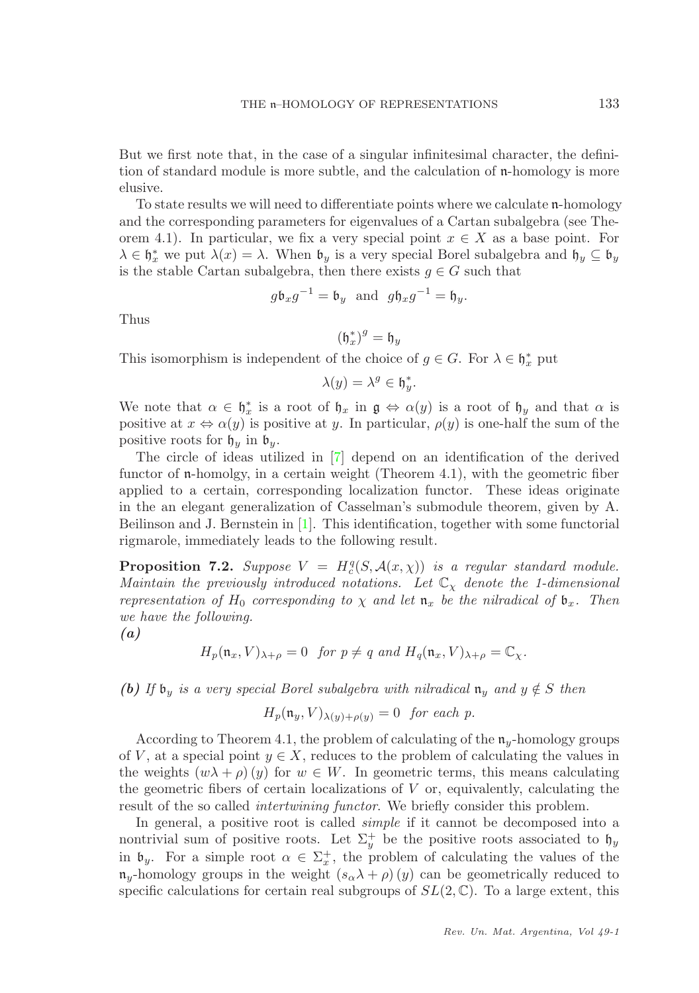But we first note that, in the case of a singular infinitesimal character, the definition of standard module is more subtle, and the calculation of n-homology is more elusive.

To state results we will need to differentiate points where we calculate n-homology and the corresponding parameters for eigenvalues of a Cartan subalgebra (see Theorem 4.1). In particular, we fix a very special point  $x \in X$  as a base point. For  $\lambda \in \mathfrak{h}_x^*$  we put  $\lambda(x) = \lambda$ . When  $\mathfrak{b}_y$  is a very special Borel subalgebra and  $\mathfrak{h}_y \subseteq \mathfrak{b}_y$ is the stable Cartan subalgebra, then there exists  $g \in G$  such that

$$
g\mathfrak{b}_x g^{-1} = \mathfrak{b}_y
$$
 and  $g\mathfrak{h}_x g^{-1} = \mathfrak{h}_y$ .

Thus

$$
(\mathfrak{h}_x^*)^g=\mathfrak{h}_y
$$

This isomorphism is independent of the choice of  $g \in G$ . For  $\lambda \in \mathfrak{h}_x^*$  put

$$
\lambda(y) = \lambda^g \in \mathfrak{h}_y^*.
$$

We note that  $\alpha \in \mathfrak{h}_x^*$  is a root of  $\mathfrak{h}_x$  in  $\mathfrak{g} \Leftrightarrow \alpha(y)$  is a root of  $\mathfrak{h}_y$  and that  $\alpha$  is positive at  $x \Leftrightarrow \alpha(y)$  is positive at y. In particular,  $\rho(y)$  is one-half the sum of the positive roots for  $\mathfrak{h}_y$  in  $\mathfrak{b}_y$ .

The circle of ideas utilized in [\[7\]](#page-12-14) depend on an identification of the derived functor of n-homolgy, in a certain weight (Theorem 4.1), with the geometric fiber applied to a certain, corresponding localization functor. These ideas originate in the an elegant generalization of Casselman's submodule theorem, given by A. Beilinson and J. Bernstein in [\[1\]](#page-12-15). This identification, together with some functorial rigmarole, immediately leads to the following result.

<span id="page-10-0"></span>**Proposition 7.2.** Suppose  $V = H_c^q(S, \mathcal{A}(x, \chi))$  is a regular standard module. Maintain the previously introduced notations. Let  $\mathbb{C}_{\chi}$  denote the 1-dimensional representation of H<sub>0</sub> corresponding to  $\chi$  and let  $\mathfrak{n}_x$  be the nilradical of  $\mathfrak{b}_x$ . Then we have the following.

(a)

$$
H_p(\mathfrak{n}_x, V)_{\lambda+\rho} = 0 \quad \text{for } p \neq q \text{ and } H_q(\mathfrak{n}_x, V)_{\lambda+\rho} = \mathbb{C}_{\chi}.
$$

(b) If  $\mathfrak{b}_v$  is a very special Borel subalgebra with nilradical  $\mathfrak{n}_v$  and  $y \notin S$  then

$$
H_p(\mathfrak{n}_y, V)_{\lambda(y) + \rho(y)} = 0 \text{ for each } p.
$$

According to Theorem 4.1, the problem of calculating of the  $\mathfrak{n}_y$ -homology groups of V, at a special point  $y \in X$ , reduces to the problem of calculating the values in the weights  $(w\lambda + \rho)(y)$  for  $w \in W$ . In geometric terms, this means calculating the geometric fibers of certain localizations of  $V$  or, equivalently, calculating the result of the so called intertwining functor. We briefly consider this problem.

In general, a positive root is called simple if it cannot be decomposed into a nontrivial sum of positive roots. Let  $\Sigma_y^+$  be the positive roots associated to  $\mathfrak{h}_y$ in  $\mathfrak{b}_y$ . For a simple root  $\alpha \in \Sigma_x^+$ , the problem of calculating the values of the  $\mathfrak{n}_y$ -homology groups in the weight  $(s_\alpha \lambda + \rho)(y)$  can be geometrically reduced to specific calculations for certain real subgroups of  $SL(2,\mathbb{C})$ . To a large extent, this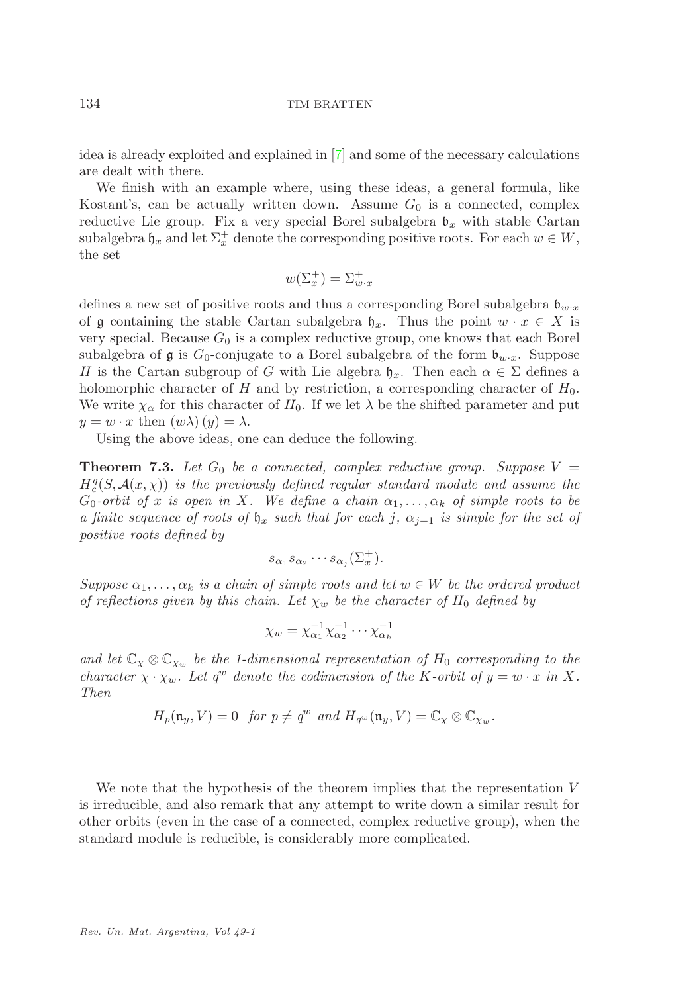idea is already exploited and explained in [\[7\]](#page-12-14) and some of the necessary calculations are dealt with there.

We finish with an example where, using these ideas, a general formula, like Kostant's, can be actually written down. Assume  $G_0$  is a connected, complex reductive Lie group. Fix a very special Borel subalgebra  $\mathfrak{b}_x$  with stable Cartan subalgebra  $\mathfrak{h}_x$  and let  $\Sigma^+_x$  denote the corresponding positive roots. For each  $w \in W$ , the set

$$
w(\Sigma_x^+) = \Sigma_{w \cdot x}^+
$$

defines a new set of positive roots and thus a corresponding Borel subalgebra  $\mathfrak{b}_{w \cdot x}$ of g containing the stable Cartan subalgebra  $\mathfrak{h}_x$ . Thus the point  $w \cdot x \in X$  is very special. Because  $G_0$  is a complex reductive group, one knows that each Borel subalgebra of  $\mathfrak g$  is  $G_0$ -conjugate to a Borel subalgebra of the form  $\mathfrak b_{w \cdot x}$ . Suppose H is the Cartan subgroup of G with Lie algebra  $\mathfrak{h}_x$ . Then each  $\alpha \in \Sigma$  defines a holomorphic character of H and by restriction, a corresponding character of  $H_0$ . We write  $\chi_{\alpha}$  for this character of  $H_0$ . If we let  $\lambda$  be the shifted parameter and put  $y = w \cdot x$  then  $(w\lambda)(y) = \lambda$ .

Using the above ideas, one can deduce the following.

**Theorem 7.3.** Let  $G_0$  be a connected, complex reductive group. Suppose  $V =$  $H_c^q(S, \mathcal{A}(x, \chi))$  is the previously defined regular standard module and assume the  $G_0$ -orbit of x is open in X. We define a chain  $\alpha_1, \ldots, \alpha_k$  of simple roots to be a finite sequence of roots of  $\mathfrak{h}_x$  such that for each j,  $\alpha_{i+1}$  is simple for the set of positive roots defined by

$$
s_{\alpha_1}s_{\alpha_2}\cdots s_{\alpha_j}(\Sigma_x^+).
$$

Suppose  $\alpha_1, \ldots, \alpha_k$  is a chain of simple roots and let  $w \in W$  be the ordered product of reflections given by this chain. Let  $\chi_w$  be the character of  $H_0$  defined by

$$
\chi_w = \chi_{\alpha_1}^{-1} \chi_{\alpha_2}^{-1} \cdots \chi_{\alpha_k}^{-1}
$$

and let  $\mathbb{C}_{\chi} \otimes \mathbb{C}_{\chi_w}$  be the 1-dimensional representation of  $H_0$  corresponding to the character  $\chi \cdot \chi_w$ . Let  $q^w$  denote the codimension of the K-orbit of  $y = w \cdot x$  in X. Then

$$
H_p(\mathfrak{n}_y,V)=0 \ \ \text{for} \ p \neq q^w \ \text{and} \ H_{q^w}(\mathfrak{n}_y,V)=\mathbb{C}_{\chi} \otimes \mathbb{C}_{\chi_w}.
$$

We note that the hypothesis of the theorem implies that the representation V is irreducible, and also remark that any attempt to write down a similar result for other orbits (even in the case of a connected, complex reductive group), when the standard module is reducible, is considerably more complicated.